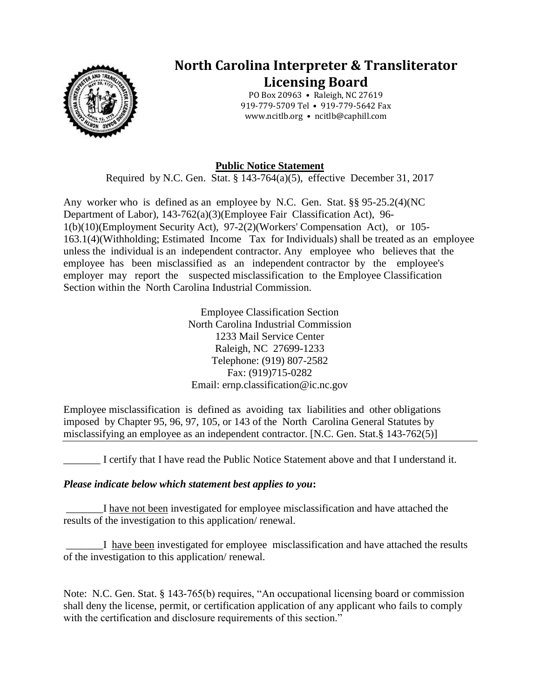

## **North Carolina Interpreter & Transliterator Licensing Board**

PO Box 20963 • Raleigh, NC 27619 919-779-5709 Tel • 919-779-5642 Fax www.ncitlb.org • ncitlb@caphill.com

## **Public Notice Statement**

Required by N.C. Gen. Stat. § 143-764(a)(5), effective December 31, 2017

Any worker who is defined as an employee by N.C. Gen. Stat. §§ 95-25.2(4)(NC Department of Labor), 143-762(a)(3)(Employee Fair Classification Act), 96- 1(b)(10)(Employment Security Act), 97-2(2)(Workers' Compensation Act), or 105- 163.1(4)(Withholding; Estimated Income Tax for Individuals) shall be treated as an employee unless the individual is an independent contractor. Any employee who believes that the employee has been misclassified as an independent contractor by the employee's employer may report the suspected misclassification to the Employee Classification Section within the North Carolina Industrial Commission.

> Employee Classification Section North Carolina Industrial Commission 1233 Mail Service Center Raleigh, NC 27699-1233 Telephone: (919) 807-2582 Fax: (919)715-0282 Email: ernp.classification@ic.nc.gov

Employee misclassification is defined as avoiding tax liabilities and other obligations imposed by Chapter 95, 96, 97, 105, or 143 of the North Carolina General Statutes by misclassifying an employee as an independent contractor. [N.C. Gen. Stat.§ 143-762(5)]

I certify that I have read the Public Notice Statement above and that I understand it.

## *Please indicate below which statement best applies to you***:**

I have not been investigated for employee misclassification and have attached the results of the investigation to this application/ renewal.

I have been investigated for employee misclassification and have attached the results of the investigation to this application/ renewal.

Note: N.C. Gen. Stat. § 143-765(b) requires, "An occupational licensing board or commission shall deny the license, permit, or certification application of any applicant who fails to comply with the certification and disclosure requirements of this section."